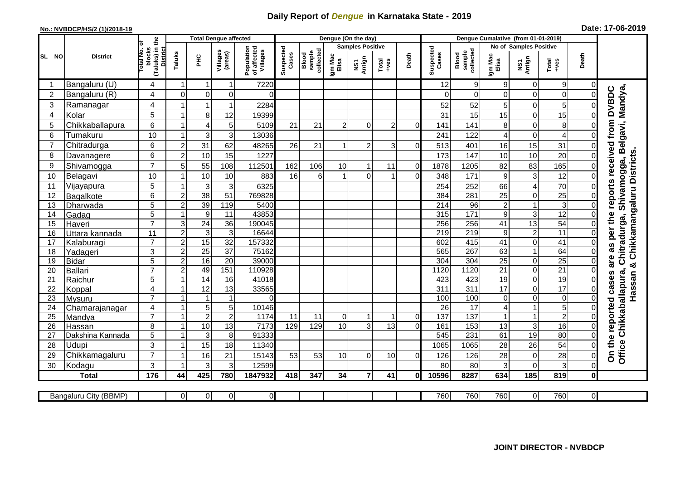## **Daily Report of** *Dengue* **in Karnataka State - 2019**

## **No.: NVBDCP/HS/2 (1)/2018-19 Date: 17-06-2019**

|                |                                |                                                             | <b>Total Dengue affected</b> |                      |                      |                                       |                        |                              | Dengue (On the day)  |                         |                  |                            |                    |                              |                  |                               |                      |                                  |                                                                        |
|----------------|--------------------------------|-------------------------------------------------------------|------------------------------|----------------------|----------------------|---------------------------------------|------------------------|------------------------------|----------------------|-------------------------|------------------|----------------------------|--------------------|------------------------------|------------------|-------------------------------|----------------------|----------------------------------|------------------------------------------------------------------------|
|                |                                |                                                             |                              |                      |                      |                                       |                        |                              |                      | <b>Samples Positive</b> |                  |                            |                    |                              |                  | <b>No of Samples Positive</b> |                      |                                  |                                                                        |
| SL NO          | <b>District</b>                | (Taluks) in the<br>otal No. of<br>blocks<br><b>District</b> | Taluks                       | ΞÉ                   | Villages<br>(areas)  | Population<br>of affected<br>Villages | Suspected<br>Cases     | sample<br>collected<br>Blood | Igm Mac<br>Elisa     | NS1<br>Antign           | $Tota$<br>$+ves$ | Death                      | Suspected<br>Cases | sample<br>collected<br>Blood | Igm Mac<br>Elisa | NS1<br>Antign                 | Total<br>+ves        | Death                            |                                                                        |
|                | Bangaluru (U)                  | 4                                                           | 1                            | -1                   | 1                    | 7220                                  |                        |                              |                      |                         |                  |                            | 12                 | 9                            | 9                | $\mathbf 0$                   | 9                    | 0                                |                                                                        |
| $\overline{2}$ | Bangaluru (R)                  | 4                                                           | $\mathbf{0}$                 | $\mathbf 0$          | $\mathbf 0$          | $\Omega$                              |                        |                              |                      |                         |                  |                            |                    | $\Omega$                     | 0                | 0                             | $\overline{0}$       | $\overline{0}$                   |                                                                        |
| 3              | Ramanagar                      | 4                                                           |                              | $\overline{1}$       | 1                    | 2284                                  |                        |                              |                      |                         |                  |                            | 52                 | 52                           | 5                | $\mathbf 0$                   | 5                    | 0                                | Shivamogga, Belgavi, Mandya,<br>as per the reports received from DVBDC |
| $\overline{4}$ | Kolar                          | 5                                                           |                              | 8                    | 12                   | 19399                                 |                        |                              |                      |                         |                  |                            | 31                 | 15                           | 15               | $\mathbf 0$                   | 15                   | $\Omega$                         |                                                                        |
| 5              | Chikkaballapura                | 6                                                           |                              | $\overline{4}$       | 5                    | 5109                                  | 21                     | 21                           | $\overline{2}$       | $\Omega$                | $\overline{2}$   | $\Omega$                   | 141                | 141                          | 8                | $\mathbf 0$                   | 8                    | $\Omega$                         |                                                                        |
| 6              | Tumakuru                       | 10                                                          |                              | 3                    | 3                    | 13036                                 |                        |                              |                      |                         |                  |                            | 241                | 122                          | 4                | $\mathbf 0$                   | $\overline{4}$       | $\Omega$                         |                                                                        |
| $\overline{7}$ | Chitradurga                    | 6                                                           | $\overline{c}$               | 31                   | 62                   | 48265                                 | 26                     | 21                           |                      | $\overline{2}$          | 3                | $\Omega$                   | 513                | 401                          | 16               | 15                            | 31                   | 0                                |                                                                        |
| 8              | Davanagere                     | $6\phantom{1}$                                              | $\overline{2}$               | 10                   | 15                   | 1227                                  |                        |                              |                      |                         |                  |                            | 173                | 147                          | 10               | 10                            | $\overline{20}$      | $\Omega$                         |                                                                        |
| 9              | Shivamogga                     | $\overline{7}$                                              | 5                            | 55                   | 108                  | 112501                                | 162                    | 106                          | 10                   | 1                       | 11               | 0                          | 1878               | 1205                         | 82               | 83                            | 165                  | 0                                | & Chikkamangaluru Districts.                                           |
| 10             | Belagavi                       | 10                                                          |                              | 10                   | 10                   | 883                                   | 16                     | $6\phantom{1}$               |                      | $\Omega$                |                  | $\Omega$                   | 348                | 171                          | 9                | 3                             | 12                   | $\Omega$                         |                                                                        |
| 11             | Vijayapura                     | 5                                                           |                              | 3                    | 3                    | 6325                                  |                        |                              |                      |                         |                  |                            | 254                | 252                          | 66               | 4                             | 70                   | 0                                |                                                                        |
| 12             | Bagalkote                      | 6                                                           | $\overline{c}$               | 38                   | 51                   | 769828                                |                        |                              |                      |                         |                  |                            | 384                | 281                          | $\overline{25}$  | $\mathbf 0$                   | 25                   | $\overline{0}$                   |                                                                        |
| 13             | Dharwada                       | $\overline{5}$                                              | $\overline{2}$               | 39                   | 119                  | 5400                                  |                        |                              |                      |                         |                  |                            | $\overline{214}$   | 96                           | $\overline{2}$   | $\mathbf{1}$                  | $\overline{3}$       | $\mathbf 0$                      |                                                                        |
| 14             | Gadag                          | $\overline{5}$                                              |                              | 9                    | 11                   | 43853                                 |                        |                              |                      |                         |                  |                            | 315                | $\frac{1}{171}$              | 9                | $\mathbf{3}$                  | 12                   | $\Omega$                         |                                                                        |
| 15             | Haveri                         | $\overline{7}$                                              | 3                            | 24                   | 36                   | 190045                                |                        |                              |                      |                         |                  |                            | 256                | 256                          | 41               | 13                            | 54                   | $\overline{0}$                   |                                                                        |
| 16             | Uttara kannada                 | 11                                                          | $\boldsymbol{2}$             | 3                    | 3                    | 16644                                 |                        |                              |                      |                         |                  |                            | 219                | $\overline{219}$             | 9                | $\overline{\mathbf{c}}$       | $\overline{11}$      | 0                                | Chitradurga,                                                           |
| 17             | Kalaburagi                     | $\overline{7}$                                              | $\overline{2}$               | 15                   | $\overline{32}$      | 157332                                |                        |                              |                      |                         |                  |                            | 602                | 415                          | $\overline{41}$  | $\overline{0}$                | $\overline{41}$      | $\mathbf 0$                      |                                                                        |
| 18             | Yadageri                       | 3                                                           | $\overline{2}$               | $\overline{25}$      | $\overline{37}$      | 75162                                 |                        |                              |                      |                         |                  |                            | 565                | 267                          | 63               | $\mathbf{1}$                  | 64                   | 0                                |                                                                        |
| 19             | Bidar                          | 5                                                           | $\overline{2}$               | 16                   | $\overline{20}$      | 39000                                 |                        |                              |                      |                         |                  |                            | 304                | 304                          | $\overline{25}$  | $\mathbf 0$                   | 25                   | $\mathbf 0$                      | are                                                                    |
| 20             | Ballari                        | $\overline{7}$                                              | $\mathbf 2$                  | 49                   | 151                  | 110928                                |                        |                              |                      |                         |                  |                            | 1120               | 1120                         | 21               | $\overline{0}$                | 21                   | 0                                |                                                                        |
| 21             | Raichur                        | 5                                                           |                              | 14                   | 16                   | 41018                                 |                        |                              |                      |                         |                  |                            | 423                | 423                          | 19               | $\pmb{0}$                     | 19                   | 0                                | cases<br>Hassan                                                        |
| 22             | Koppal                         | 4                                                           |                              | 12                   | 13                   | 33565                                 |                        |                              |                      |                         |                  |                            | $\overline{311}$   | 311                          | $\overline{17}$  | $\overline{0}$                | $\overline{17}$      | 0                                |                                                                        |
| 23             | Mysuru                         | $\overline{7}$                                              |                              |                      | 1                    | $\Omega$                              |                        |                              |                      |                         |                  |                            | 100                | 100                          | 0                | $\mathbf 0$                   | $\mathbf 0$          | 0                                |                                                                        |
| 24             | Chamarajanagar                 | 4<br>$\overline{7}$                                         |                              | $\overline{5}$       | $\overline{5}$       | 10146                                 |                        |                              |                      |                         |                  |                            | $\overline{26}$    | $\overline{17}$              | 4                | $\mathbf{1}$                  | $\overline{5}$       | $\mathbf 0$                      |                                                                        |
| 25             | Mandya                         |                                                             |                              | $\overline{2}$<br>10 | $\overline{2}$<br>13 | 1174<br>7173                          | $\overline{11}$<br>129 | 11<br>129                    | $\overline{0}$<br>10 | 1<br>$\overline{3}$     | 1<br>13          | $\overline{0}$<br>$\Omega$ | 137                | 137<br>153                   | 1<br>13          | $\overline{1}$                | $\overline{2}$<br>16 | $\overline{0}$<br>$\overline{0}$ |                                                                        |
| 26<br>27       | Hassan<br>Dakshina Kannada     | 8<br>$\overline{5}$                                         |                              | 3                    | 8                    | 91333                                 |                        |                              |                      |                         |                  |                            | 161<br>545         | 231                          | 61               | 3<br>19                       | 80                   | $\mathbf 0$                      |                                                                        |
|                |                                | 3                                                           |                              |                      |                      |                                       |                        |                              |                      |                         |                  |                            |                    |                              |                  |                               | 54                   |                                  |                                                                        |
| 28<br>29       | <b>Udupi</b><br>Chikkamagaluru | $\overline{7}$                                              |                              | 15<br>16             | 18<br>21             | 11340<br>15143                        | 53                     | 53                           | 10                   | $\Omega$                | 10               | $\Omega$                   | 1065<br>126        | 1065<br>126                  | 28<br>28         | 26                            | 28                   | $\overline{0}$<br>0              | Office Chikkaballapura,<br>On the reported                             |
| 30             |                                | 3                                                           |                              | 3                    | 3                    | 12599                                 |                        |                              |                      |                         |                  |                            | 80                 | 80                           | 3                | 0<br>$\overline{0}$           | 3                    | 0                                |                                                                        |
|                | Kodagu<br><b>Total</b>         | $\frac{1}{176}$                                             | 44                           | 425                  | 780                  | 1847932                               | 418                    | 347                          | 34                   | $\overline{7}$          | 41               | 0l                         | 10596              | 8287                         | 634              | 185                           | 819                  | $\mathbf{0}$                     |                                                                        |
|                |                                |                                                             |                              |                      |                      |                                       |                        |                              |                      |                         |                  |                            |                    |                              |                  |                               |                      |                                  |                                                                        |
|                | Bangaluru City (BBMP)          |                                                             | $\overline{0}$               | $\overline{0}$       | $\overline{0}$       | $\overline{0}$                        |                        |                              |                      |                         |                  |                            | 760                | 760                          | 760              | $\overline{0}$                | 760                  | $\overline{\Omega}$              |                                                                        |